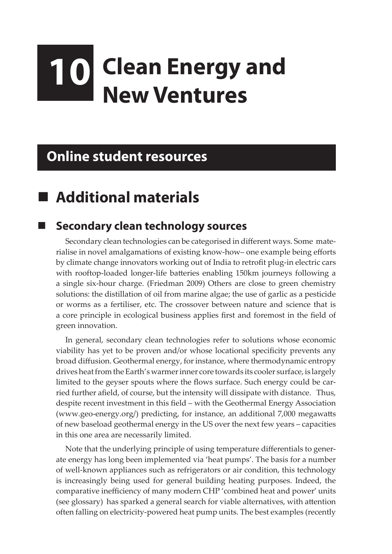# **10 Clean Energy and New Ventures**

## **Online student resources**

## **Additional materials**

#### **Secondary clean technology sources**

Secondary clean technologies can be categorised in different ways. Some materialise in novel amalgamations of existing know-how– one example being efforts by climate change innovators working out of India to retrofit plug-in electric cars with rooftop-loaded longer-life batteries enabling 150km journeys following a a single six-hour charge. (Friedman 2009) Others are close to green chemistry solutions: the distillation of oil from marine algae; the use of garlic as a pesticide or worms as a fertiliser, etc. The crossover between nature and science that is a core principle in ecological business applies first and foremost in the field of green innovation.

In general, secondary clean technologies refer to solutions whose economic viability has yet to be proven and/or whose locational specificity prevents any broad diffusion. Geothermal energy, for instance, where thermodynamic entropy drives heat from the Earth's warmer inner core towards its cooler surface, is largely limited to the geyser spouts where the flows surface. Such energy could be carried further afield, of course, but the intensity will dissipate with distance. Thus, despite recent investment in this field – with the Geothermal Energy Association (www.geo-energy.org/) predicting, for instance, an additional 7,000 megawatts of new baseload geothermal energy in the US over the next few years – capacities in this one area are necessarily limited.

Note that the underlying principle of using temperature differentials to generate energy has long been implemented via 'heat pumps'. The basis for a number of well-known appliances such as refrigerators or air condition, this technology is increasingly being used for general building heating purposes. Indeed, the comparative inefficiency of many modern CHP 'combined heat and power' units (see glossary) has sparked a general search for viable alternatives, with attention often falling on electricity-powered heat pump units. The best examples (recently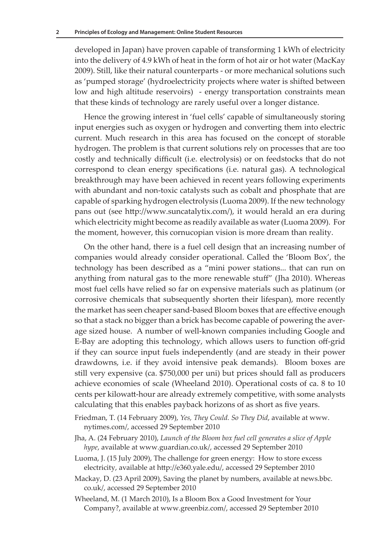developed in Japan) have proven capable of transforming 1 kWh of electricity into the delivery of 4.9 kWh of heat in the form of hot air or hot water (MacKay 2009). Still, like their natural counterparts - or more mechanical solutions such as 'pumped storage' (hydroelectricity projects where water is shifted between low and high altitude reservoirs) - energy transportation constraints mean that these kinds of technology are rarely useful over a longer distance.

Hence the growing interest in 'fuel cells' capable of simultaneously storing input energies such as oxygen or hydrogen and converting them into electric current. Much research in this area has focused on the concept of storable hydrogen. The problem is that current solutions rely on processes that are too costly and technically difficult (i.e. electrolysis) or on feedstocks that do not correspond to clean energy specifications (i.e. natural gas). A technological breakthrough may have been achieved in recent years following experiments with abundant and non-toxic catalysts such as cobalt and phosphate that are capable of sparking hydrogen electrolysis (Luoma 2009). If the new technology pans out (see http://www.suncatalytix.com/), it would herald an era during which electricity might become as readily available as water (Luoma 2009). For the moment, however, this cornucopian vision is more dream than reality.

On the other hand, there is a fuel cell design that an increasing number of companies would already consider operational. Called the 'Bloom Box', the technology has been described as a "mini power stations... that can run on anything from natural gas to the more renewable stuff" (Jha 2010). Whereas most fuel cells have relied so far on expensive materials such as platinum (or corrosive chemicals that subsequently shorten their lifespan), more recently the market has seen cheaper sand-based Bloom boxes that are effective enough so that a stack no bigger than a brick has become capable of powering the average sized house. A number of well-known companies including Google and E-Bay are adopting this technology, which allows users to function off-grid if they can source input fuels independently (and are steady in their power drawdowns, i.e. if they avoid intensive peak demands). Bloom boxes are still very expensive (ca. \$750,000 per uni) but prices should fall as producers achieve economies of scale (Wheeland 2010). Operational costs of ca. 8 to 10 cents per kilowatt-hour are already extremely competitive, with some analysts calculating that this enables payback horizons of as short as five years.

- Friedman, T. (14 February 2009), *Yes, They Could. So They Did*, available at www. nytimes.com/, accessed 29 September 2010
- Jha, A. (24 February 2010), *Launch of the Bloom box fuel cell generates a slice of Apple hype*, available at www.guardian.co.uk/, accessed 29 September 2010
- Luoma, J. (15 July 2009), The challenge for green energy: How to store excess electricity, available at http://e360.yale.edu/, accessed 29 September 2010
- Mackay, D. (23 April 2009), Saving the planet by numbers, available at news.bbc. co.uk/, accessed 29 September 2010
- Wheeland, M. (1 March 2010), Is a Bloom Box a Good Investment for Your Company?, available at www.greenbiz.com/, accessed 29 September 2010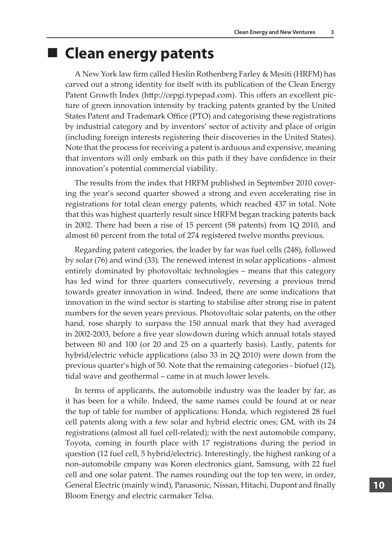#### **Clean energy patents**

A New York law firm called Heslin Rothenberg Farley & Mesiti (HRFM) has carved out a strong identity for itself with its publication of the Clean Energy Patent Growth Index (http://cepgi.typepad.com). This offers an excellent picture of green innovation intensity by tracking patents granted by the United States Patent and Trademark Office (PTO) and categorising these registrations by industrial category and by inventors' sector of activity and place of origin (including foreign interests registering their discoveries in the United States). Note that the process for receiving a patent is arduous and expensive, meaning that inventors will only embark on this path if they have confidence in their innovation's potential commercial viability.

The results from the index that HRFM published in September 2010 covering the year's second quarter showed a strong and even accelerating rise in registrations for total clean energy patents, which reached 437 in total. Note that this was highest quarterly result since HRFM began tracking patents back in 2002. There had been a rise of 15 percent (58 patents) from 1Q 2010, and almost 60 percent from the total of 274 registered twelve months previous.

Regarding patent categories, the leader by far was fuel cells (248), followed by solar (76) and wind (33). The renewed interest in solar applications - almost entirely dominated by photovoltaic technologies – means that this category has led wind for three quarters consecutively, reversing a previous trend towards greater innovation in wind. Indeed, there are some indications that innovation in the wind sector is starting to stabilise after strong rise in patent numbers for the seven years previous. Photovoltaic solar patents, on the other hand, rose sharply to surpass the 150 annual mark that they had averaged in 2002-2003, before a five year slowdown during which annual totals stayed between 80 and 100 (or 20 and 25 on a quarterly basis). Lastly, patents for hybrid/electric vehicle applications (also 33 in 2Q 2010) were down from the previous quarter's high of 50. Note that the remaining categories - biofuel (12), tidal wave and geothermal – came in at much lower levels.

In terms of applicants, the automobile industry was the leader by far, as it has been for a while. Indeed, the same names could be found at or near the top of table for number of applications: Honda, which registered 28 fuel cell patents along with a few solar and hybrid electric ones; GM, with its 24 registrations (almost all fuel cell-related); with the next automobile company, Toyota, coming in fourth place with 17 registrations during the period in question (12 fuel cell, 5 hybrid/electric). Interestingly, the highest ranking of a non-automobile cmpany was Koren electronics giant, Samsung, with 22 fuel cell and one solar patent. The names rounding out the top ten were, in order, General Electric (mainly wind), Panasonic, Nissan, Hitachi, Dupont and finally Bloom Energy and electric carmaker Telsa.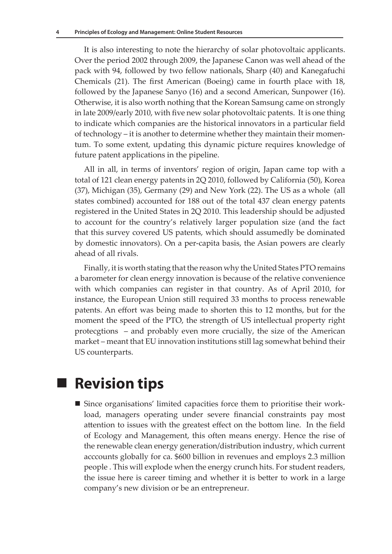It is also interesting to note the hierarchy of solar photovoltaic applicants. Over the period 2002 through 2009, the Japanese Canon was well ahead of the pack with 94, followed by two fellow nationals, Sharp (40) and Kanegafuchi Chemicals (21). The first American (Boeing) came in fourth place with 18, followed by the Japanese Sanyo (16) and a second American, Sunpower (16). Otherwise, it is also worth nothing that the Korean Samsung came on strongly in late 2009/early 2010, with five new solar photovoltaic patents. It is one thing to indicate which companies are the historical innovators in a particular field of technology – it is another to determine whether they maintain their momentum. To some extent, updating this dynamic picture requires knowledge of future patent applications in the pipeline.

All in all, in terms of inventors' region of origin, Japan came top with a total of 121 clean energy patents in 2Q 2010, followed by California (50), Korea (37), Michigan (35), Germany (29) and New York (22). The US as a whole (all states combined) accounted for 188 out of the total 437 clean energy patents registered in the United States in 2Q 2010. This leadership should be adjusted to account for the country's relatively larger population size (and the fact that this survey covered US patents, which should assumedly be dominated by domestic innovators). On a per-capita basis, the Asian powers are clearly ahead of all rivals.

Finally, it is worth stating that the reason why the United States PTO remains a barometer for clean energy innovation is because of the relative convenience with which companies can register in that country. As of April 2010, for instance, the European Union still required 33 months to process renewable patents. An effort was being made to shorten this to 12 months, but for the moment the speed of the PTO, the strength of US intellectual property right protecgtions – and probably even more crucially, the size of the American market – meant that EU innovation institutions still lag somewhat behind their US counterparts.

### **Revision tips**

 Since organisations' limited capacities force them to prioritise their workload, managers operating under severe financial constraints pay most attention to issues with the greatest effect on the bottom line. In the field of Ecology and Management, this often means energy. Hence the rise of the renewable clean energy generation/distribution industry, which current acccounts globally for ca. \$600 billion in revenues and employs 2.3 million people . This will explode when the energy crunch hits. For student readers, the issue here is career timing and whether it is better to work in a large company's new division or be an entrepreneur.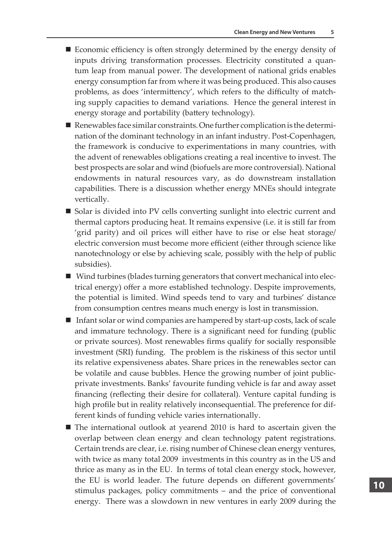- Economic efficiency is often strongly determined by the energy density of inputs driving transformation processes. Electricity constituted a quantum leap from manual power. The development of national grids enables energy consumption far from where it was being produced. This also causes problems, as does 'intermittency', which refers to the difficulty of matching supply capacities to demand variations. Hence the general interest in energy storage and portability (battery technology).
- Renewables face similar constraints. One further complication is the determination of the dominant technology in an infant industry. Post-Copenhagen, the framework is conducive to experimentations in many countries, with the advent of renewables obligations creating a real incentive to invest. The best prospects are solar and wind (biofuels are more controversial). National endowments in natural resources vary, as do downstream installation capabilities. There is a discussion whether energy MNEs should integrate vertically.
- Solar is divided into PV cells converting sunlight into electric current and thermal captors producing heat. It remains expensive (i.e. it is still far from 'grid parity) and oil prices will either have to rise or else heat storage/ electric conversion must become more efficient (either through science like nanotechnology or else by achieving scale, possibly with the help of public subsidies).
- Wind turbines (blades turning generators that convert mechanical into electrical energy) offer a more established technology. Despite improvements, the potential is limited. Wind speeds tend to vary and turbines' distance from consumption centres means much energy is lost in transmission.
- Infant solar or wind companies are hampered by start-up costs, lack of scale and immature technology. There is a significant need for funding (public or private sources). Most renewables firms qualify for socially responsible investment (SRI) funding. The problem is the riskiness of this sector until its relative expensiveness abates. Share prices in the renewables sector can be volatile and cause bubbles. Hence the growing number of joint publicprivate investments. Banks' favourite funding vehicle is far and away asset financing (reflecting their desire for collateral). Venture capital funding is high profile but in reality relatively inconsequential. The preference for different kinds of funding vehicle varies internationally.
- The international outlook at yearend 2010 is hard to ascertain given the overlap between clean energy and clean technology patent registrations. Certain trends are clear, i.e. rising number of Chinese clean energy ventures, with twice as many total 2009 investments in this country as in the US and thrice as many as in the EU. In terms of total clean energy stock, however, the EU is world leader. The future depends on different governments' stimulus packages, policy commitments – and the price of conventional energy. There was a slowdown in new ventures in early 2009 during the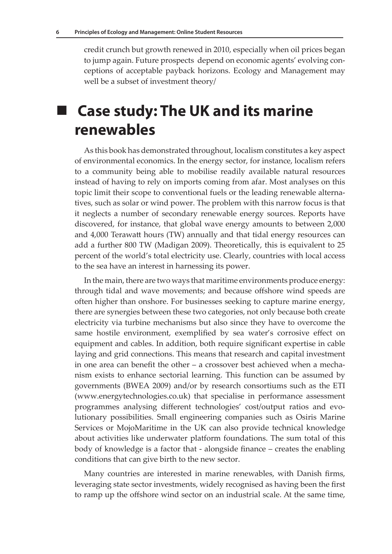credit crunch but growth renewed in 2010, especially when oil prices began to jump again. Future prospects depend on economic agents' evolving conceptions of acceptable payback horizons. Ecology and Management may well be a subset of investment theory/

# **Case study: The UK and its marine renewables**

As this book has demonstrated throughout, localism constitutes a key aspect of environmental economics. In the energy sector, for instance, localism refers to a community being able to mobilise readily available natural resources instead of having to rely on imports coming from afar. Most analyses on this topic limit their scope to conventional fuels or the leading renewable alternatives, such as solar or wind power. The problem with this narrow focus is that it neglects a number of secondary renewable energy sources. Reports have discovered, for instance, that global wave energy amounts to between 2,000 and 4,000 Terawatt hours (TW) annually and that tidal energy resources can add a further 800 TW (Madigan 2009). Theoretically, this is equivalent to 25 percent of the world's total electricity use. Clearly, countries with local access to the sea have an interest in harnessing its power.

In the main, there are two ways that maritime environments produce energy: through tidal and wave movements; and because offshore wind speeds are often higher than onshore. For businesses seeking to capture marine energy, there are synergies between these two categories, not only because both create electricity via turbine mechanisms but also since they have to overcome the same hostile environment, exemplified by sea water's corrosive effect on equipment and cables. In addition, both require significant expertise in cable laying and grid connections. This means that research and capital investment in one area can benefit the other – a crossover best achieved when a mechanism exists to enhance sectorial learning. This function can be assumed by governments (BWEA 2009) and/or by research consortiums such as the ETI (www.energytechnologies.co.uk) that specialise in performance assessment programmes analysing different technologies' cost/output ratios and evolutionary possibilities. Small engineering companies such as Osiris Marine Services or MojoMaritime in the UK can also provide technical knowledge about activities like underwater platform foundations. The sum total of this body of knowledge is a factor that - alongside finance – creates the enabling conditions that can give birth to the new sector.

Many countries are interested in marine renewables, with Danish firms, leveraging state sector investments, widely recognised as having been the first to ramp up the offshore wind sector on an industrial scale. At the same time,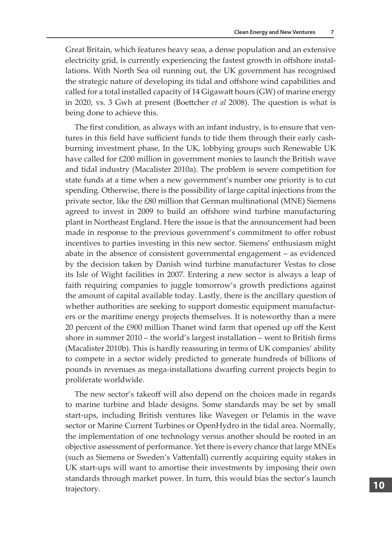Great Britain, which features heavy seas, a dense population and an extensive electricity grid, is currently experiencing the fastest growth in offshore installations. With North Sea oil running out, the UK government has recognised the strategic nature of developing its tidal and offshore wind capabilities and called for a total installed capacity of 14 Gigawatt hours (GW) of marine energy in 2020, vs. 3 Gwh at present (Boettcher *et al* 2008). The question is what is being done to achieve this.

The first condition, as always with an infant industry, is to ensure that ventures in this field have sufficient funds to tide them through their early cashburning investment phase, In the UK, lobbying groups such Renewable UK have called for £200 million in government monies to launch the British wave and tidal industry (Macalister 2010a). The problem is severe competition for state funds at a time when a new government's number one priority is to cut spending. Otherwise, there is the possibility of large capital injections from the private sector, like the £80 million that German multinational (MNE) Siemens agreed to invest in 2009 to build an offshore wind turbine manufacturing plant in Northeast England. Here the issue is that the announcement had been made in response to the previous government's commitment to offer robust incentives to parties investing in this new sector. Siemens' enthusiasm might abate in the absence of consistent governmental engagement – as evidenced by the decision taken by Danish wind turbine manufacturer Vestas to close its Isle of Wight facilities in 2007. Entering a new sector is always a leap of faith requiring companies to juggle tomorrow's growth predictions against the amount of capital available today. Lastly, there is the ancillary question of whether authorities are seeking to support domestic equipment manufacturers or the maritime energy projects themselves. It is noteworthy than a mere 20 percent of the £900 million Thanet wind farm that opened up off the Kent shore in summer 2010 – the world's largest installation – went to British firms (Macalister 2010b). This is hardly reassuring in terms of UK companies' ability to compete in a sector widely predicted to generate hundreds of billions of pounds in revenues as mega-installations dwarfing current projects begin to proliferate worldwide.

The new sector's takeoff will also depend on the choices made in regards to marine turbine and blade designs. Some standards may be set by small start-ups, including British ventures like Wavegen or Pelamis in the wave sector or Marine Current Turbines or OpenHydro in the tidal area. Normally, the implementation of one technology versus another should be rooted in an objective assessment of performance. Yet there is every chance that large MNEs (such as Siemens or Sweden's Vattenfall) currently acquiring equity stakes in UK start-ups will want to amortise their investments by imposing their own standards through market power. In turn, this would bias the sector's launch trajectory.